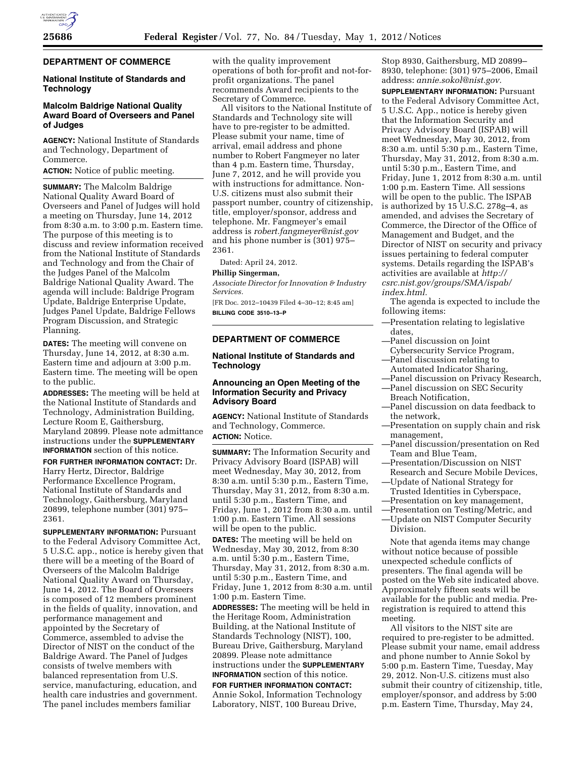

### **DEPARTMENT OF COMMERCE**

# **National Institute of Standards and Technology**

# **Malcolm Baldrige National Quality Award Board of Overseers and Panel of Judges**

**AGENCY:** National Institute of Standards and Technology, Department of Commerce.

**ACTION:** Notice of public meeting.

**SUMMARY:** The Malcolm Baldrige National Quality Award Board of Overseers and Panel of Judges will hold a meeting on Thursday, June 14, 2012 from 8:30 a.m. to 3:00 p.m. Eastern time. The purpose of this meeting is to discuss and review information received from the National Institute of Standards and Technology and from the Chair of the Judges Panel of the Malcolm Baldrige National Quality Award. The agenda will include: Baldrige Program Update, Baldrige Enterprise Update, Judges Panel Update, Baldrige Fellows Program Discussion, and Strategic Planning.

**DATES:** The meeting will convene on Thursday, June 14, 2012, at 8:30 a.m. Eastern time and adjourn at 3:00 p.m. Eastern time. The meeting will be open to the public.

**ADDRESSES:** The meeting will be held at the National Institute of Standards and Technology, Administration Building, Lecture Room E, Gaithersburg, Maryland 20899. Please note admittance instructions under the **SUPPLEMENTARY INFORMATION** section of this notice.

**FOR FURTHER INFORMATION CONTACT:** Dr. Harry Hertz, Director, Baldrige Performance Excellence Program, National Institute of Standards and Technology, Gaithersburg, Maryland 20899, telephone number (301) 975– 2361.

**SUPPLEMENTARY INFORMATION: Pursuant** to the Federal Advisory Committee Act, 5 U.S.C. app., notice is hereby given that there will be a meeting of the Board of Overseers of the Malcolm Baldrige National Quality Award on Thursday, June 14, 2012. The Board of Overseers is composed of 12 members prominent in the fields of quality, innovation, and performance management and appointed by the Secretary of Commerce, assembled to advise the Director of NIST on the conduct of the Baldrige Award. The Panel of Judges consists of twelve members with balanced representation from U.S. service, manufacturing, education, and health care industries and government. The panel includes members familiar

with the quality improvement operations of both for-profit and not-forprofit organizations. The panel recommends Award recipients to the Secretary of Commerce.

All visitors to the National Institute of Standards and Technology site will have to pre-register to be admitted. Please submit your name, time of arrival, email address and phone number to Robert Fangmeyer no later than 4 p.m. Eastern time, Thursday, June 7, 2012, and he will provide you with instructions for admittance. Non-U.S. citizens must also submit their passport number, country of citizenship, title, employer/sponsor, address and telephone. Mr. Fangmeyer's email address is *[robert.fangmeyer@nist.gov](mailto:robert.fangmeyer@nist.gov)*  and his phone number is (301) 975– 2361.

Dated: April 24, 2012.

### **Phillip Singerman,**

*Associate Director for Innovation & Industry Services.* 

[FR Doc. 2012–10439 Filed 4–30–12; 8:45 am] **BILLING CODE 3510–13–P** 

## **DEPARTMENT OF COMMERCE**

# **National Institute of Standards and Technology**

## **Announcing an Open Meeting of the Information Security and Privacy Advisory Board**

**AGENCY:** National Institute of Standards and Technology, Commerce. **ACTION:** Notice.

**SUMMARY:** The Information Security and Privacy Advisory Board (ISPAB) will meet Wednesday, May 30, 2012, from 8:30 a.m. until 5:30 p.m., Eastern Time, Thursday, May 31, 2012, from 8:30 a.m. until 5:30 p.m., Eastern Time, and Friday, June 1, 2012 from 8:30 a.m. until 1:00 p.m. Eastern Time. All sessions will be open to the public.

**DATES:** The meeting will be held on Wednesday, May 30, 2012, from 8:30 a.m. until 5:30 p.m., Eastern Time, Thursday, May 31, 2012, from 8:30 a.m. until 5:30 p.m., Eastern Time, and Friday, June 1, 2012 from 8:30 a.m. until 1:00 p.m. Eastern Time.

**ADDRESSES:** The meeting will be held in the Heritage Room, Administration Building, at the National Institute of Standards Technology (NIST), 100, Bureau Drive, Gaithersburg, Maryland 20899. Please note admittance instructions under the **SUPPLEMENTARY INFORMATION** section of this notice.

**FOR FURTHER INFORMATION CONTACT:**  Annie Sokol, Information Technology Laboratory, NIST, 100 Bureau Drive,

Stop 8930, Gaithersburg, MD 20899– 8930, telephone: (301) 975–2006, Email address: *[annie.sokol@nist.gov.](mailto:annie.sokol@nist.gov)* 

**SUPPLEMENTARY INFORMATION: Pursuant** to the Federal Advisory Committee Act, 5 U.S.C. App., notice is hereby given that the Information Security and Privacy Advisory Board (ISPAB) will meet Wednesday, May 30, 2012, from 8:30 a.m. until 5:30 p.m., Eastern Time, Thursday, May 31, 2012, from 8:30 a.m. until 5:30 p.m., Eastern Time, and Friday, June 1, 2012 from 8:30 a.m. until 1:00 p.m. Eastern Time. All sessions will be open to the public. The ISPAB is authorized by 15 U.S.C. 278g–4, as amended, and advises the Secretary of Commerce, the Director of the Office of Management and Budget, and the Director of NIST on security and privacy issues pertaining to federal computer systems. Details regarding the ISPAB's activities are available at *[http://](http://csrc.nist.gov/groups/SMA/ispab/index.html)  [csrc.nist.gov/groups/SMA/ispab/](http://csrc.nist.gov/groups/SMA/ispab/index.html)  [index.html.](http://csrc.nist.gov/groups/SMA/ispab/index.html)* 

The agenda is expected to include the following items:

- —Presentation relating to legislative dates,
- —Panel discussion on Joint
- Cybersecurity Service Program, —Panel discussion relating to
	- Automated Indicator Sharing,
- —Panel discussion on Privacy Research,
- —Panel discussion on SEC Security
- Breach Notification,
- —Panel discussion on data feedback to the network,
- —Presentation on supply chain and risk management,
- —Panel discussion/presentation on Red Team and Blue Team,
- —Presentation/Discussion on NIST Research and Secure Mobile Devices,
- —Update of National Strategy for
	- Trusted Identities in Cyberspace,
- —Presentation on key management, —Presentation on Testing/Metric, and
- —Update on NIST Computer Security Division.

Note that agenda items may change without notice because of possible unexpected schedule conflicts of presenters. The final agenda will be posted on the Web site indicated above. Approximately fifteen seats will be available for the public and media. Preregistration is required to attend this meeting.

All visitors to the NIST site are required to pre-register to be admitted. Please submit your name, email address and phone number to Annie Sokol by 5:00 p.m. Eastern Time, Tuesday, May 29, 2012. Non-U.S. citizens must also submit their country of citizenship, title, employer/sponsor, and address by 5:00 p.m. Eastern Time, Thursday, May 24,